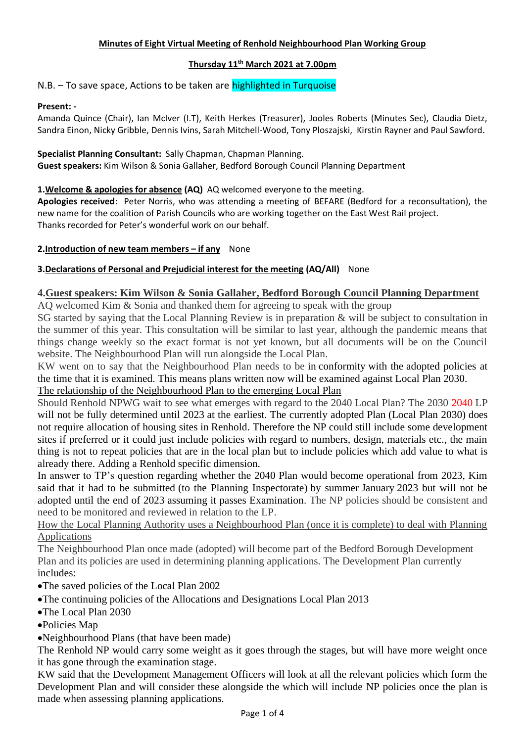## **Minutes of Eight Virtual Meeting of Renhold Neighbourhood Plan Working Group**

# **Thursday 11 th March 2021 at 7.00pm**

N.B. – To save space, Actions to be taken are highlighted in Turquoise

## **Present: -**

Amanda Quince (Chair), Ian McIver (I.T), Keith Herkes (Treasurer), Jooles Roberts (Minutes Sec), Claudia Dietz, Sandra Einon, Nicky Gribble, Dennis Ivins, Sarah Mitchell-Wood, Tony Ploszajski, Kirstin Rayner and Paul Sawford.

# **Specialist Planning Consultant:** Sally Chapman, Chapman Planning.

**Guest speakers:** Kim Wilson & Sonia Gallaher, Bedford Borough Council Planning Department

# **1.Welcome & apologies for absence (AQ)** AQ welcomed everyone to the meeting.

**Apologies received**: Peter Norris, who was attending a meeting of BEFARE (Bedford for a reconsultation), the new name for the coalition of Parish Councils who are working together on the East West Rail project. Thanks recorded for Peter's wonderful work on our behalf.

# **2.Introduction of new team members – if any** None

# **3.Declarations of Personal and Prejudicial interest for the meeting (AQ/All)** None

# **4.Guest speakers: Kim Wilson & Sonia Gallaher, Bedford Borough Council Planning Department**

AQ welcomed Kim & Sonia and thanked them for agreeing to speak with the group

SG started by saying that the Local Planning Review is in preparation & will be subject to consultation in the summer of this year. This consultation will be similar to last year, although the pandemic means that things change weekly so the exact format is not yet known, but all documents will be on the Council website. The Neighbourhood Plan will run alongside the Local Plan.

KW went on to say that the Neighbourhood Plan needs to be in conformity with the adopted policies at the time that it is examined. This means plans written now will be examined against Local Plan 2030.

The relationship of the Neighbourhood Plan to the emerging Local Plan

Should Renhold NPWG wait to see what emerges with regard to the 2040 Local Plan? The 2030 2040 LP will not be fully determined until 2023 at the earliest. The currently adopted Plan (Local Plan 2030) does not require allocation of housing sites in Renhold. Therefore the NP could still include some development sites if preferred or it could just include policies with regard to numbers, design, materials etc., the main thing is not to repeat policies that are in the local plan but to include policies which add value to what is already there. Adding a Renhold specific dimension.

In answer to TP's question regarding whether the 2040 Plan would become operational from 2023, Kim said that it had to be submitted (to the Planning Inspectorate) by summer January 2023 but will not be adopted until the end of 2023 assuming it passes Examination. The NP policies should be consistent and need to be monitored and reviewed in relation to the LP.

How the Local Planning Authority uses a Neighbourhood Plan (once it is complete) to deal with Planning Applications

The Neighbourhood Plan once made (adopted) will become part of the Bedford Borough Development Plan and its policies are used in determining planning applications. The Development Plan currently includes:

- •The saved policies of the Local Plan 2002
- •The continuing policies of the Allocations and Designations Local Plan 2013
- •The Local Plan 2030
- •Policies Map

•Neighbourhood Plans (that have been made)

The Renhold NP would carry some weight as it goes through the stages, but will have more weight once it has gone through the examination stage.

KW said that the Development Management Officers will look at all the relevant policies which form the Development Plan and will consider these alongside the which will include NP policies once the plan is made when assessing planning applications.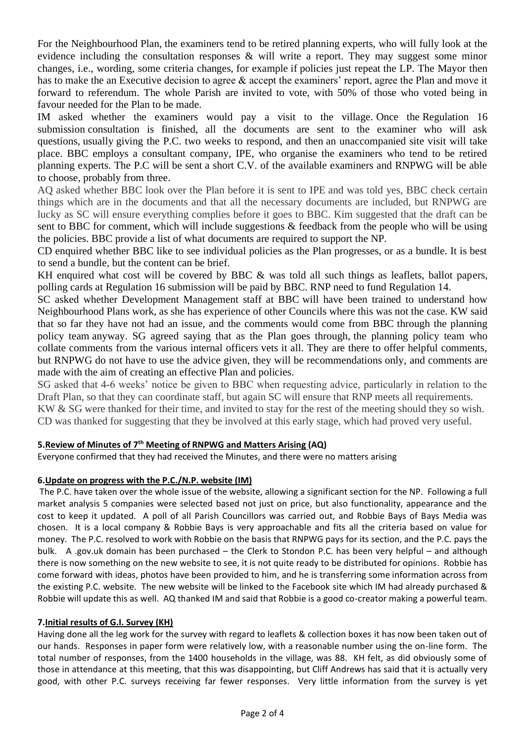For the Neighbourhood Plan, the examiners tend to be retired planning experts, who will fully look at the evidence including the consultation responses & will write a report. They may suggest some minor changes, i.e., wording, some criteria changes, for example if policies just repeat the LP. The Mayor then has to make the an Executive decision to agree & accept the examiners' report, agree the Plan and move it forward to referendum. The whole Parish are invited to vote, with 50% of those who voted being in favour needed for the Plan to be made.

IM asked whether the examiners would pay a visit to the village. Once the Regulation 16 submission consultation is finished, all the documents are sent to the examiner who will ask questions, usually giving the P.C. two weeks to respond, and then an unaccompanied site visit will take place. BBC employs a consultant company, IPE, who organise the examiners who tend to be retired planning experts. The P.C will be sent a short C.V. of the available examiners and RNPWG will be able to choose, probably from three.

AQ asked whether BBC look over the Plan before it is sent to IPE and was told yes, BBC check certain things which are in the documents and that all the necessary documents are included, but RNPWG are lucky as SC will ensure everything complies before it goes to BBC. Kim suggested that the draft can be sent to BBC for comment, which will include suggestions & feedback from the people who will be using the policies. BBC provide a list of what documents are required to support the NP.

CD enquired whether BBC like to see individual policies as the Plan progresses, or as a bundle. It is best to send a bundle, but the content can be brief.

KH enquired what cost will be covered by BBC & was told all such things as leaflets, ballot papers, polling cards at Regulation 16 submission will be paid by BBC. RNP need to fund Regulation 14.

SC asked whether Development Management staff at BBC will have been trained to understand how Neighbourhood Plans work, as she has experience of other Councils where this was not the case. KW said that so far they have not had an issue, and the comments would come from BBC through the planning policy team anyway. SG agreed saying that as the Plan goes through, the planning policy team who collate comments from the various internal officers vets it all. They are there to offer helpful comments, but RNPWG do not have to use the advice given, they will be recommendations only, and comments are made with the aim of creating an effective Plan and policies.

SG asked that 4-6 weeks' notice be given to BBC when requesting advice, particularly in relation to the Draft Plan, so that they can coordinate staff, but again SC will ensure that RNP meets all requirements.

KW & SG were thanked for their time, and invited to stay for the rest of the meeting should they so wish. CD was thanked for suggesting that they be involved at this early stage, which had proved very useful.

## **5.Review of Minutes of 7th Meeting of RNPWG and Matters Arising (AQ)**

Everyone confirmed that they had received the Minutes, and there were no matters arising

## **6.Update on progress with the P.C./N.P. website (IM)**

The P.C. have taken over the whole issue of the website, allowing a significant section for the NP. Following a full market analysis 5 companies were selected based not just on price, but also functionality, appearance and the cost to keep it updated. A poll of all Parish Councillors was carried out, and Robbie Bays of Bays Media was chosen. It is a local company & Robbie Bays is very approachable and fits all the criteria based on value for money. The P.C. resolved to work with Robbie on the basis that RNPWG pays for its section, and the P.C. pays the bulk. A .gov.uk domain has been purchased – the Clerk to Stondon P.C. has been very helpful – and although there is now something on the new website to see, it is not quite ready to be distributed for opinions. Robbie has come forward with ideas, photos have been provided to him, and he is transferring some information across from the existing P.C. website. The new website will be linked to the Facebook site which IM had already purchased & Robbie will update this as well. AQ thanked IM and said that Robbie is a good co-creator making a powerful team.

## **7.Initial results of G.I. Survey (KH)**

Having done all the leg work for the survey with regard to leaflets & collection boxes it has now been taken out of our hands. Responses in paper form were relatively low, with a reasonable number using the on-line form. The total number of responses, from the 1400 households in the village, was 88. KH felt, as did obviously some of those in attendance at this meeting, that this was disappointing, but Cliff Andrews has said that it is actually very good, with other P.C. surveys receiving far fewer responses. Very little information from the survey is yet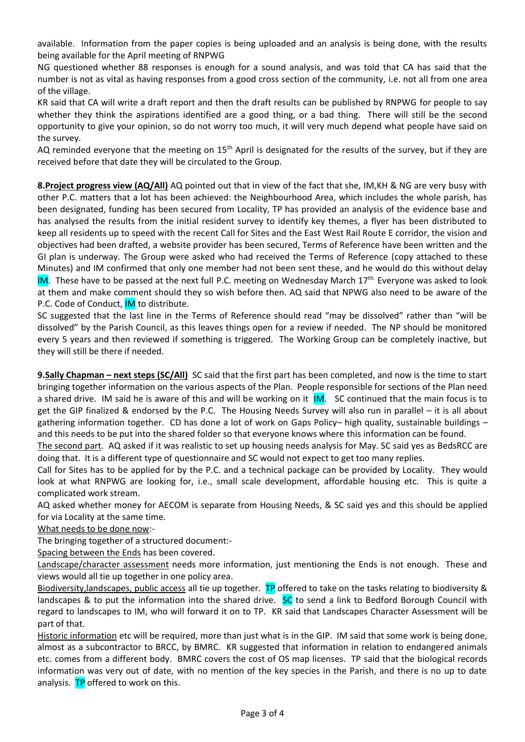available. Information from the paper copies is being uploaded and an analysis is being done, with the results being available for the April meeting of RNPWG

NG questioned whether 88 responses is enough for a sound analysis, and was told that CA has said that the number is not as vital as having responses from a good cross section of the community, i.e. not all from one area of the village.

KR said that CA will write a draft report and then the draft results can be published by RNPWG for people to say whether they think the aspirations identified are a good thing, or a bad thing. There will still be the second opportunity to give your opinion, so do not worry too much, it will very much depend what people have said on the survey.

AQ reminded everyone that the meeting on  $15<sup>th</sup>$  April is designated for the results of the survey, but if they are received before that date they will be circulated to the Group.

**8.Project progress view (AQ/All)** AQ pointed out that in view of the fact that she, IM,KH & NG are very busy with other P.C. matters that a lot has been achieved: the Neighbourhood Area, which includes the whole parish, has been designated, funding has been secured from Locality, TP has provided an analysis of the evidence base and has analysed the results from the initial resident survey to identify key themes, a flyer has been distributed to keep all residents up to speed with the recent Call for Sites and the East West Rail Route E corridor, the vision and objectives had been drafted, a website provider has been secured, Terms of Reference have been written and the GI plan is underway. The Group were asked who had received the Terms of Reference (copy attached to these Minutes) and IM confirmed that only one member had not been sent these, and he would do this without delay IM. These have to be passed at the next full P.C. meeting on Wednesday March  $17^{\text{th}}$ . Everyone was asked to look at them and make comment should they so wish before then. AQ said that NPWG also need to be aware of the P.C. Code of Conduct, **IM** to distribute.

SC suggested that the last line in the Terms of Reference should read "may be dissolved" rather than "will be dissolved" by the Parish Council, as this leaves things open for a review if needed. The NP should be monitored every 5 years and then reviewed if something is triggered. The Working Group can be completely inactive, but they will still be there if needed.

**9.Sally Chapman – next steps (SC/All)** SC said that the first part has been completed, and now is the time to start bringing together information on the various aspects of the Plan. People responsible for sections of the Plan need a shared drive. IM said he is aware of this and will be working on it IM. SC continued that the main focus is to get the GIP finalized & endorsed by the P.C. The Housing Needs Survey will also run in parallel – it is all about gathering information together. CD has done a lot of work on Gaps Policy– high quality, sustainable buildings – and this needs to be put into the shared folder so that everyone knows where this information can be found.

The second part. AQ asked if it was realistic to set up housing needs analysis for May. SC said yes as BedsRCC are doing that. It is a different type of questionnaire and SC would not expect to get too many replies.

Call for Sites has to be applied for by the P.C. and a technical package can be provided by Locality. They would look at what RNPWG are looking for, i.e., small scale development, affordable housing etc. This is quite a complicated work stream.

AQ asked whether money for AECOM is separate from Housing Needs, & SC said yes and this should be applied for via Locality at the same time.

What needs to be done now:-

The bringing together of a structured document:-

Spacing between the Ends has been covered.

Landscape/character assessment needs more information, just mentioning the Ends is not enough. These and views would all tie up together in one policy area.

Biodiversity, landscapes, public access all tie up together. TP offered to take on the tasks relating to biodiversity & landscapes & to put the information into the shared drive. SC to send a link to Bedford Borough Council with regard to landscapes to IM, who will forward it on to TP. KR said that Landscapes Character Assessment will be part of that.

Historic information etc will be required, more than just what is in the GIP. IM said that some work is being done, almost as a subcontractor to BRCC, by BMRC. KR suggested that information in relation to endangered animals etc. comes from a different body. BMRC covers the cost of OS map licenses. TP said that the biological records information was very out of date, with no mention of the key species in the Parish, and there is no up to date analysis. TP offered to work on this.